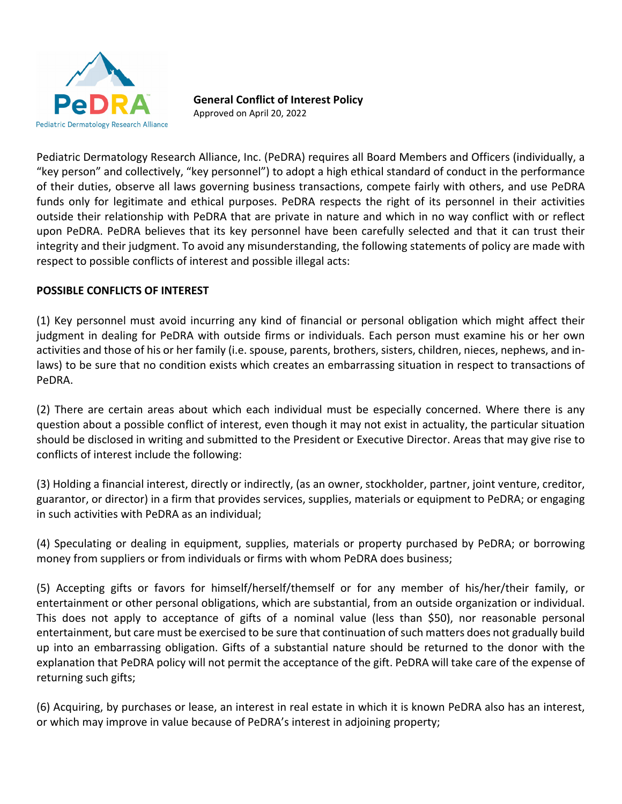

**General Conflict of Interest Policy** 

Approved on April 20, 2022

Pediatric Dermatology Research Alliance, Inc. (PeDRA) requires all Board Members and Officers (individually, a "key person" and collectively, "key personnel") to adopt a high ethical standard of conduct in the performance of their duties, observe all laws governing business transactions, compete fairly with others, and use PeDRA funds only for legitimate and ethical purposes. PeDRA respects the right of its personnel in their activities outside their relationship with PeDRA that are private in nature and which in no way conflict with or reflect upon PeDRA. PeDRA believes that its key personnel have been carefully selected and that it can trust their integrity and their judgment. To avoid any misunderstanding, the following statements of policy are made with respect to possible conflicts of interest and possible illegal acts:

## **POSSIBLE CONFLICTS OF INTEREST**

(1) Key personnel must avoid incurring any kind of financial or personal obligation which might affect their judgment in dealing for PeDRA with outside firms or individuals. Each person must examine his or her own activities and those of his or her family (i.e. spouse, parents, brothers, sisters, children, nieces, nephews, and in‐ laws) to be sure that no condition exists which creates an embarrassing situation in respect to transactions of PeDRA.

(2) There are certain areas about which each individual must be especially concerned. Where there is any question about a possible conflict of interest, even though it may not exist in actuality, the particular situation should be disclosed in writing and submitted to the President or Executive Director. Areas that may give rise to conflicts of interest include the following:

(3) Holding a financial interest, directly or indirectly, (as an owner, stockholder, partner, joint venture, creditor, guarantor, or director) in a firm that provides services, supplies, materials or equipment to PeDRA; or engaging in such activities with PeDRA as an individual;

(4) Speculating or dealing in equipment, supplies, materials or property purchased by PeDRA; or borrowing money from suppliers or from individuals or firms with whom PeDRA does business;

(5) Accepting gifts or favors for himself/herself/themself or for any member of his/her/their family, or entertainment or other personal obligations, which are substantial, from an outside organization or individual. This does not apply to acceptance of gifts of a nominal value (less than \$50), nor reasonable personal entertainment, but care must be exercised to be sure that continuation of such matters does not gradually build up into an embarrassing obligation. Gifts of a substantial nature should be returned to the donor with the explanation that PeDRA policy will not permit the acceptance of the gift. PeDRA will take care of the expense of returning such gifts;

(6) Acquiring, by purchases or lease, an interest in real estate in which it is known PeDRA also has an interest, or which may improve in value because of PeDRA's interest in adjoining property;